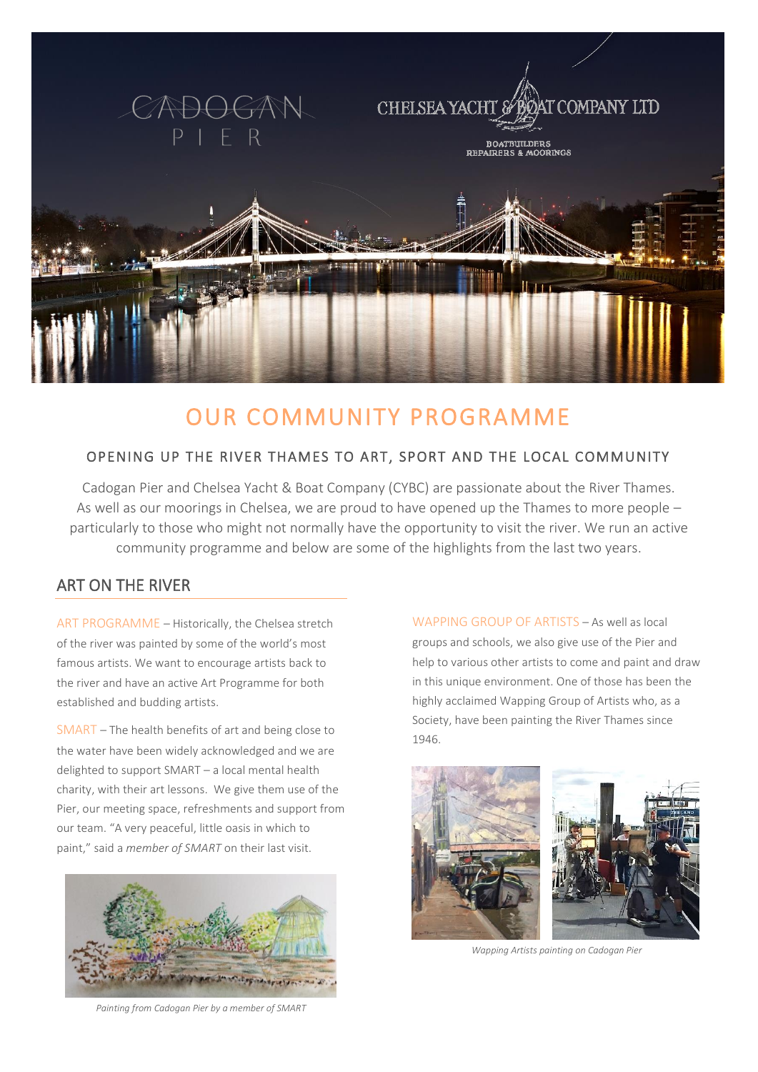

# OUR COMMUNITY PROGRAMME

### OPENING UP THE RIVER THAMES TO ART, SPORT AND THE LOCAL COMMUNITY

Cadogan Pier and Chelsea Yacht & Boat Company (CYBC) are passionate about the River Thames. As well as our moorings in Chelsea, we are proud to have opened up the Thames to more people – particularly to those who might not normally have the opportunity to visit the river. We run an active community programme and below are some of the highlights from the last two years.

### ART ON THE RIVER

ART PROGRAMME – Historically, the Chelsea stretch of the river was painted by some of the world's most famous artists. We want to encourage artists back to the river and have an active Art Programme for both established and budding artists.

SMART – The health benefits of art and being close to the water have been widely acknowledged and we are delighted to support SMART – a local mental health charity, with their art lessons. We give them use of the Pier, our meeting space, refreshments and support from our team. "A very peaceful, little oasis in which to paint," said a *member of SMART* on their last visit.



*Painting from Cadogan Pier by a member of SMART*

WAPPING GROUP OF ARTISTS – As well as local groups and schools, we also give use of the Pier and help to various other artists to come and paint and draw in this unique environment. One of those has been the highly acclaimed Wapping Group of Artists who, as a Society, have been painting the River Thames since 1946.



*Wapping Artists painting on Cadogan Pier*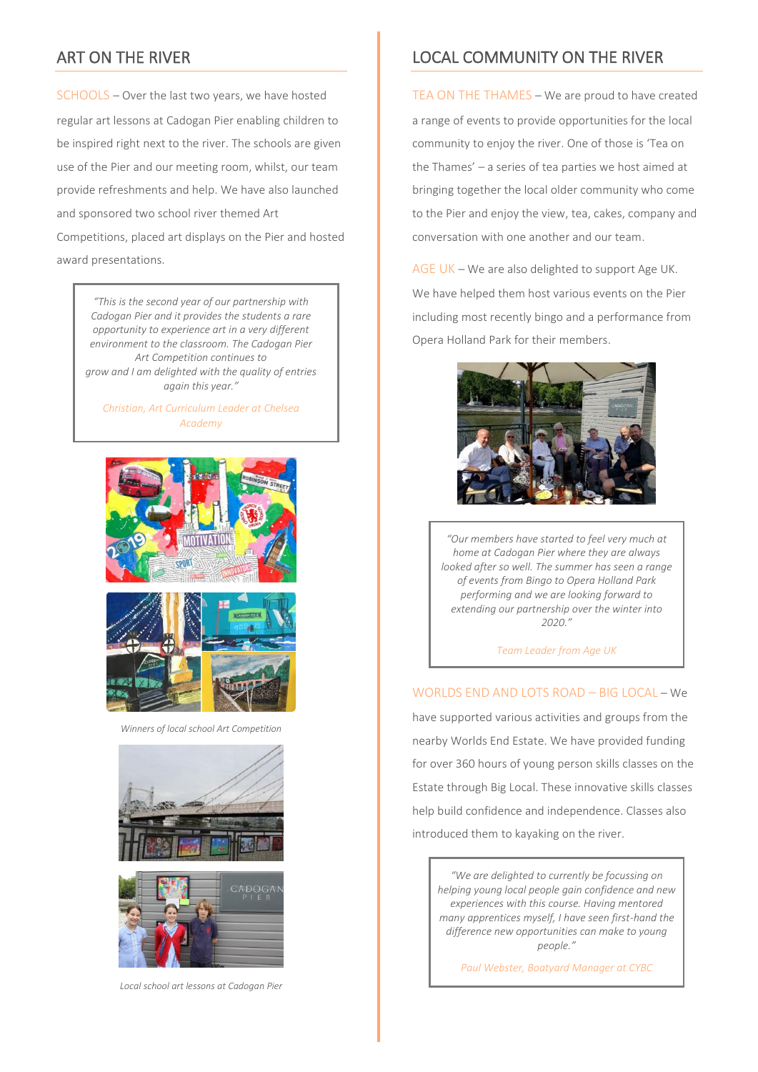### ART ON THE RIVER

SCHOOLS – Over the last two years, we have hosted regular art lessons at Cadogan Pier enabling children to be inspired right next to the river. The schools are given use of the Pier and our meeting room, whilst, our team provide refreshments and help. We have also launched and sponsored two school river themed Art Competitions, placed art displays on the Pier and hosted award presentations.

> *"This is the second year of our partnership with Cadogan Pier and it provides the students a rare opportunity to experience art in a very different environment to the classroom. The Cadogan Pier Art Competition continues to grow and I am delighted with the quality of entries again this year."*

*Christian, Art Curriculum Leader at Chelsea Academy*



*Winners of local school Art Competition*





*Local school art lessons at Cadogan Pier*

### LOCAL COMMUNITY ON THE RIVER

TEA ON THE THAMES – We are proud to have created a range of events to provide opportunities for the local community to enjoy the river. One of those is 'Tea on the Thames' – a series of tea parties we host aimed at bringing together the local older community who come to the Pier and enjoy the view, tea, cakes, company and conversation with one another and our team.

AGE UK – We are also delighted to support Age UK. We have helped them host various events on the Pier including most recently bingo and a performance from Opera Holland Park for their members.



*"Our members have started to feel very much at home at Cadogan Pier where they are always looked after so well. The summer has seen a range of events from Bingo to Opera Holland Park performing and we are looking forward to extending our partnership over the winter into 2020."*

*Team Leader from Age UK*

#### WORLDS END AND LOTS ROAD – BIG LOCAL – We

have supported various activities and groups from the nearby Worlds End Estate. We have provided funding for over 360 hours of young person skills classes on the Estate through Big Local. These innovative skills classes help build confidence and independence. Classes also introduced them to kayaking on the river.

*"We are delighted to currently be focussing on helping young local people gain confidence and new experiences with this course. Having mentored many apprentices myself, I have seen first-hand the difference new opportunities can make to young people."*

*Paul Webster, Boatyard Manager at CYBC*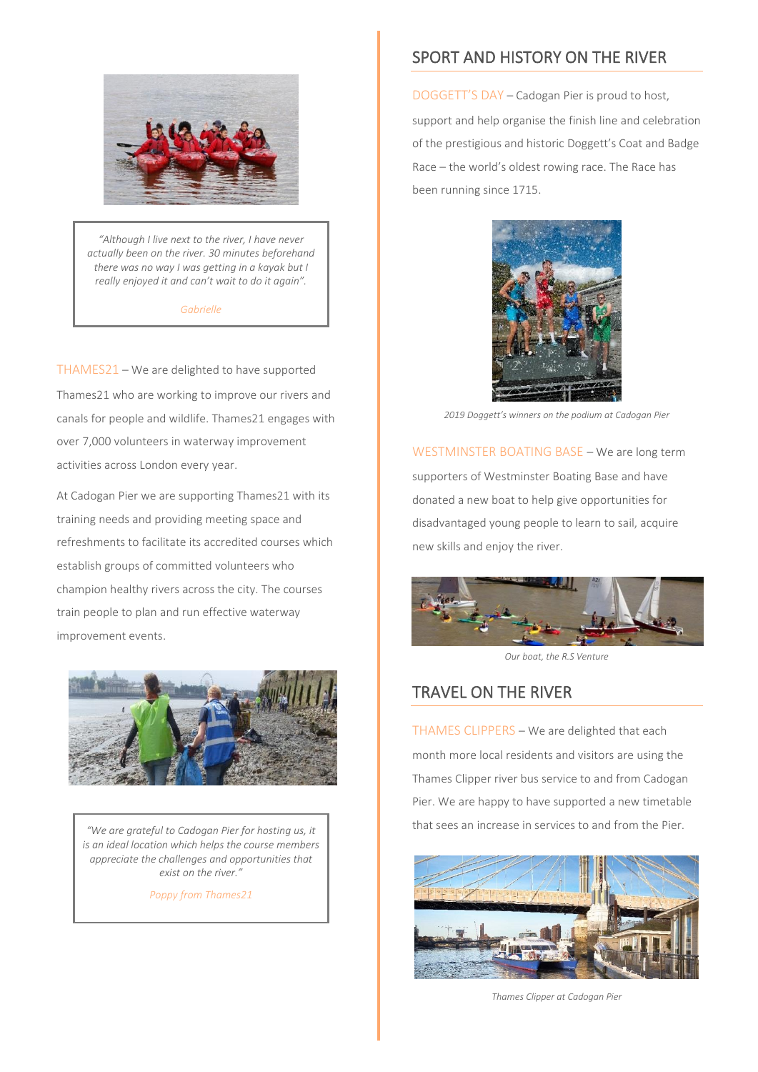

*"Although I live next to the river, I have never actually been on the river. 30 minutes beforehand there was no way I was getting in a kayak but I really enjoyed it and can't wait to do it again".*

*Gabrielle*

THAMES21 – We are delighted to have supported Thames21 who are working to improve our rivers and canals for people and wildlife. Thames21 engages with over 7,000 volunteers in waterway improvement activities across London every year.

At Cadogan Pier we are supporting Thames21 with its training needs and providing meeting space and refreshments to facilitate its accredited courses which establish groups of committed volunteers who champion healthy rivers across the city. The courses train people to plan and run effective waterway improvement events.



*"We are grateful to Cadogan Pier for hosting us, it is an ideal location which helps the course members appreciate the challenges and opportunities that exist on the river."*

*Poppy from Thames21*

### SPORT AND HISTORY ON THE RIVER

DOGGETT'S DAY – Cadogan Pier is proud to host, support and help organise the finish line and celebration of the prestigious and historic Doggett's Coat and Badge Race – the world's oldest rowing race. The Race has been running since 1715.



*2019 Doggett's winners on the podium at Cadogan Pier*

WESTMINSTER BOATING BASE – We are long term supporters of Westminster Boating Base and have donated a new boat to help give opportunities for disadvantaged young people to learn to sail, acquire new skills and enjoy the river.



*Our boat, the R.S Venture*

### TRAVEL ON THE RIVER

THAMES CLIPPERS – We are delighted that each month more local residents and visitors are using the Thames Clipper river bus service to and from Cadogan Pier. We are happy to have supported a new timetable that sees an increase in services to and from the Pier.



*Thames Clipper at Cadogan Pier*